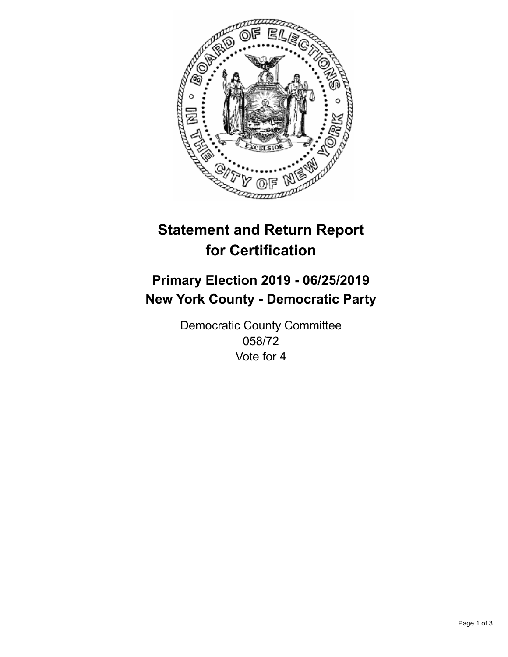

## **Statement and Return Report for Certification**

## **Primary Election 2019 - 06/25/2019 New York County - Democratic Party**

Democratic County Committee 058/72 Vote for 4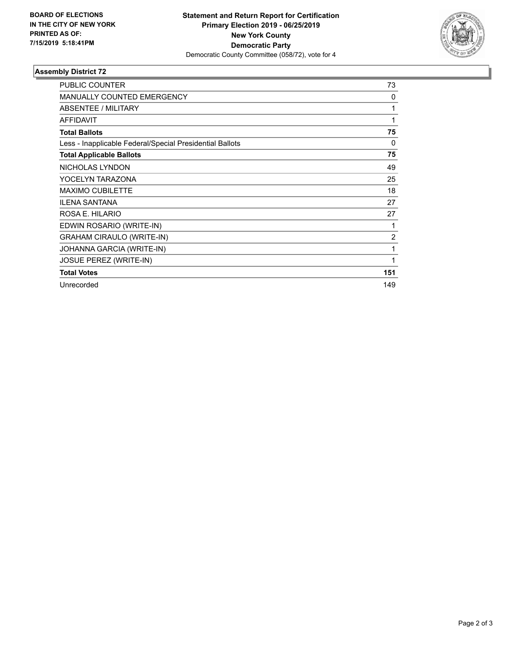

## **Assembly District 72**

| <b>PUBLIC COUNTER</b>                                    | 73  |
|----------------------------------------------------------|-----|
| <b>MANUALLY COUNTED EMERGENCY</b>                        | 0   |
| ABSENTEE / MILITARY                                      | 1   |
| <b>AFFIDAVIT</b>                                         | 1   |
| <b>Total Ballots</b>                                     | 75  |
| Less - Inapplicable Federal/Special Presidential Ballots | 0   |
| <b>Total Applicable Ballots</b>                          | 75  |
| NICHOLAS LYNDON                                          | 49  |
| YOCELYN TARAZONA                                         | 25  |
| <b>MAXIMO CUBILETTE</b>                                  | 18  |
| <b>ILENA SANTANA</b>                                     | 27  |
| ROSA E. HILARIO                                          | 27  |
| EDWIN ROSARIO (WRITE-IN)                                 | 1   |
| <b>GRAHAM CIRAULO (WRITE-IN)</b>                         | 2   |
| JOHANNA GARCIA (WRITE-IN)                                | 1   |
| JOSUE PEREZ (WRITE-IN)                                   | 1   |
| <b>Total Votes</b>                                       | 151 |
| Unrecorded                                               | 149 |